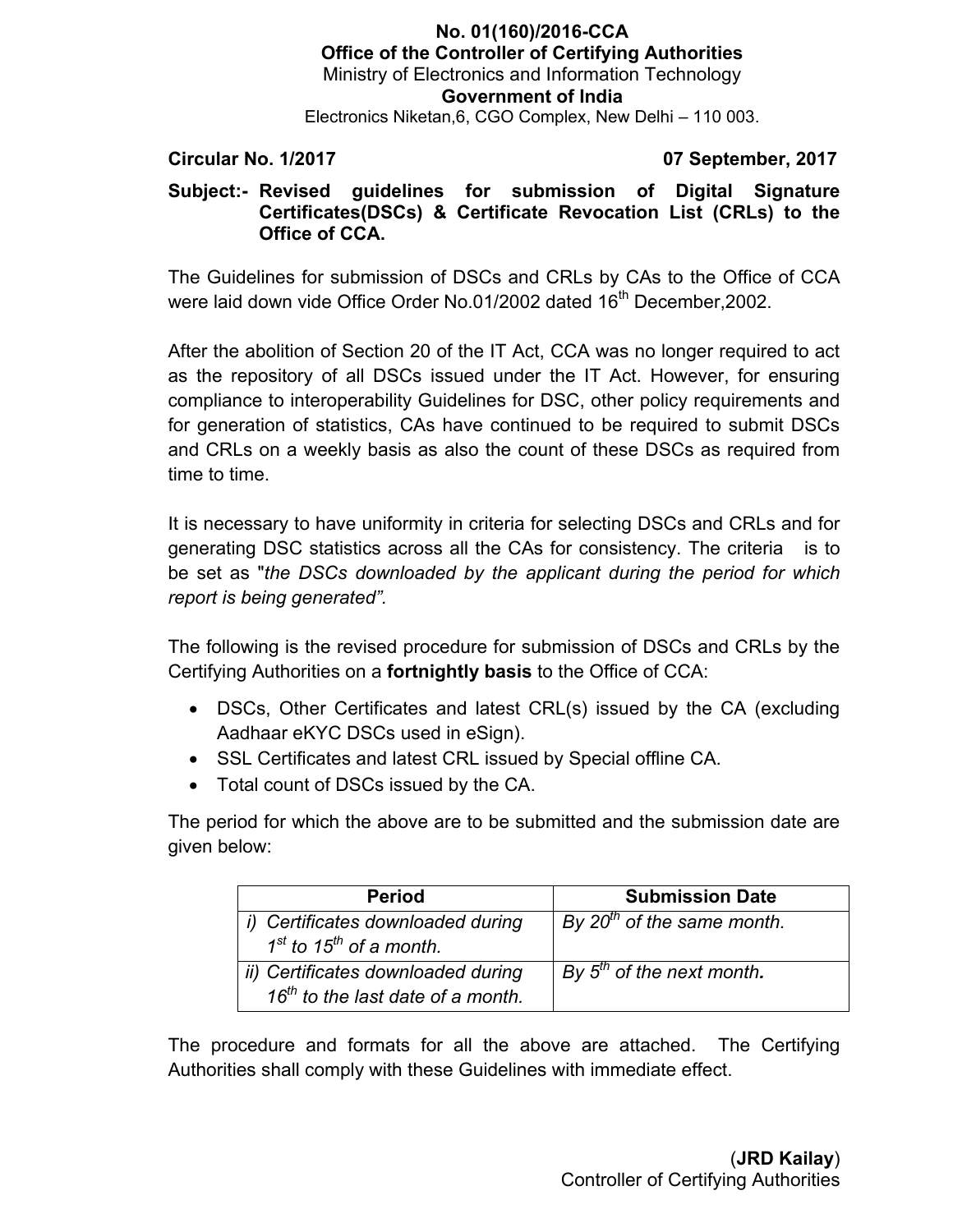## **No. 01(160)/2016-CCA Office of the Controller of Certifying Authorities** Ministry of Electronics and Information Technology **Government of India** Electronics Niketan,6, CGO Complex, New Delhi – 110 003.

### **Circular No. 1/2017 07 September, 2017**

## **Subject:- Revised guidelines for submission of Digital Signature Certificates(DSCs) & Certificate Revocation List (CRLs) to the Office of CCA.**

The Guidelines for submission of DSCs and CRLs by CAs to the Office of CCA were laid down vide Office Order No.01/2002 dated 16<sup>th</sup> December.2002.

After the abolition of Section 20 of the IT Act, CCA was no longer required to act as the repository of all DSCs issued under the IT Act. However, for ensuring compliance to interoperability Guidelines for DSC, other policy requirements and for generation of statistics, CAs have continued to be required to submit DSCs and CRLs on a weekly basis as also the count of these DSCs as required from time to time.

It is necessary to have uniformity in criteria for selecting DSCs and CRLs and for generating DSC statistics across all the CAs for consistency. The criteria is to be set as "*the DSCs downloaded by the applicant during the period for which report is being generated".* 

The following is the revised procedure for submission of DSCs and CRLs by the Certifying Authorities on a **fortnightly basis** to the Office of CCA:

- DSCs, Other Certificates and latest CRL(s) issued by the CA (excluding Aadhaar eKYC DSCs used in eSign).
- SSL Certificates and latest CRL issued by Special offline CA.
- Total count of DSCs issued by the CA.

The period for which the above are to be submitted and the submission date are given below:

| <b>Period</b>                                                              | <b>Submission Date</b>                 |
|----------------------------------------------------------------------------|----------------------------------------|
| i) Certificates downloaded during<br>$1st$ to 15 <sup>th</sup> of a month. | By 20 <sup>th</sup> of the same month. |
| ii) Certificates downloaded during<br>$16th$ to the last date of a month.  | By $5th$ of the next month.            |

The procedure and formats for all the above are attached. The Certifying Authorities shall comply with these Guidelines with immediate effect.